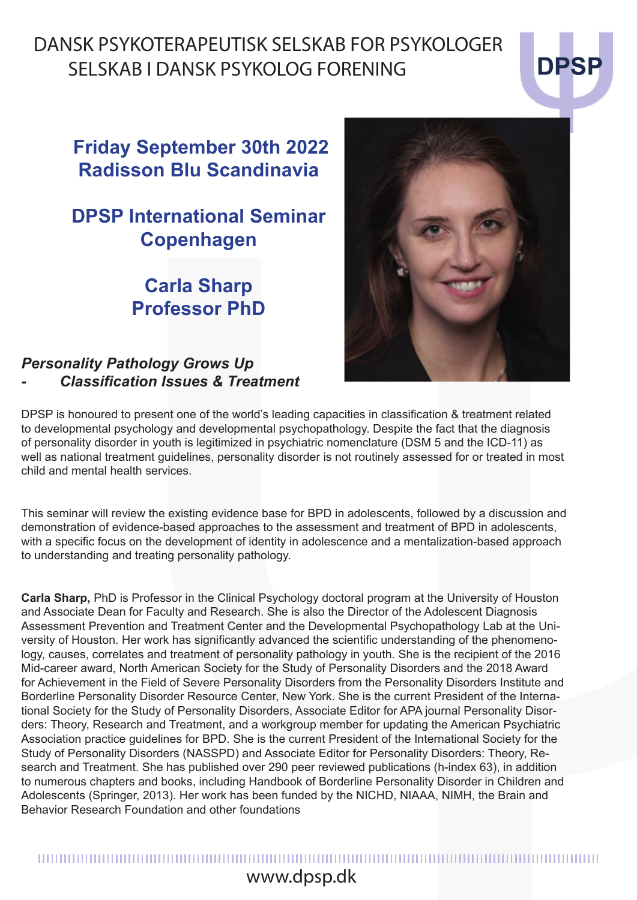## DANSK PSYKOTERAPEUTISK SELSKAB FOR PSYKOLOGER SELSKAB I DANSK PSYKOLOG FORENING

### **Friday September 30th 2022 Radisson Blu Scandinavia**

### **DPSP International Seminar Copenhagen**

### *Personality Pathology Grows Up - Classification Issues & Treatment*

DPSP is honoured to present one of the world's leading capacities in classification & treatment related to developmental psychology and developmental psychopathology. Despite the fact that the diagnosis of personality disorder in youth is legitimized in psychiatric nomenclature (DSM 5 and the ICD-11) as well as national treatment guidelines, personality disorder is not routinely assessed for or treated in most child and mental health services.

This seminar will review the existing evidence base for BPD in adolescents, followed by a discussion and demonstration of evidence-based approaches to the assessment and treatment of BPD in adolescents, with a specific focus on the development of identity in adolescence and a mentalization-based approach to understanding and treating personality pathology.

DPSP International Seminar<br>
Copenhagen<br>
Carla Sharp<br>
Professor PhD<br>
Personality Pathology Grows Up<br>
- Classification issues & Treatment<br>
Descriptions of the variable carecteristic international technology and developmenta **Carla Sharp,** PhD is Professor in the Clinical Psychology doctoral program at the University of Houston and Associate Dean for Faculty and Research. She is also the Director of the Adolescent Diagnosis Assessment Prevention and Treatment Center and the Developmental Psychopathology Lab at the University of Houston. Her work has significantly advanced the scientific understanding of the phenomenology, causes, correlates and treatment of personality pathology in youth. She is the recipient of the 2016 Mid-career award, North American Society for the Study of Personality Disorders and the 2018 Award for Achievement in the Field of Severe Personality Disorders from the Personality Disorders Institute and Borderline Personality Disorder Resource Center, New York. She is the current President of the International Society for the Study of Personality Disorders, Associate Editor for APA journal Personality Disorders: Theory, Research and Treatment, and a workgroup member for updating the American Psychiatric Association practice guidelines for BPD. She is the current President of the International Society for the Study of Personality Disorders (NASSPD) and Associate Editor for Personality Disorders: Theory, Research and Treatment. She has published over 290 peer reviewed publications (h-index 63), in addition to numerous chapters and books, including Handbook of Borderline Personality Disorder in Children and Adolescents (Springer, 2013). Her work has been funded by the NICHD, NIAAA, NIMH, the Brain and Behavior Research Foundation and other foundations



# www.dpsp.dk www.dpsp.dk